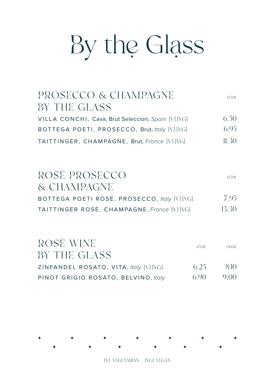# By the Glass

| PROSECCO & CHAMPAGNE<br>BY THE GLASS               | 125M1. |
|----------------------------------------------------|--------|
| VILLA CONCHI, Cava, Brut Seleccion, Spain [V] [VG] | 6.50   |
| BOTTEGA POETI, PROSECCO, Brut, Italy [V] [VG]      | 695    |
| TAITTINGER, CHAMPAGNE, Brut, France [V] [VG]       | 11.30  |

| ROSÉ PROSECCO<br>& CHAMPAGNE                 | 125ML |
|----------------------------------------------|-------|
| BOTTEGA POETI ROSÉ, PROSECCO, Italy [V] [VG] | 795   |
| TAITTINGER ROSÉ, CHAMPAGNE, France [V] [VG]  | 13.30 |

| ROSÉ WINE                              | 175ML | 250ML |
|----------------------------------------|-------|-------|
| BY THE GLASS                           |       |       |
| ZINFANDEL ROSATO, VITA, Italy [V] [VG] | 6.25  | -8.10 |
| PINOT GRIGIO ROSATO, BELVINO, Italy    | 6.90  | 9.00  |

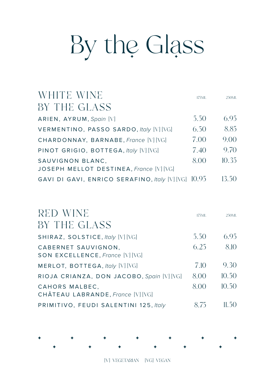# By the Glass

| WHITE WINE                                          | 175ML | 250ML |
|-----------------------------------------------------|-------|-------|
| BY THE GLASS                                        |       |       |
| ARIEN, AYRUM, Spain [V]                             | 5.50  | 6.95  |
| VERMENTINO, PASSO SARDO, Italy [V] [VG]             | 6.50  | 8.85  |
| CHARDONNAY, BARNABE, France [V] [VG]                | 7.00  | 9.00  |
| PINOT GRIGIO, BOTTEGA, Italy [V] [VG]               | 7.40  | 9.70  |
| SAUVIGNON BLANC.                                    | 8.00  | 10.35 |
| JOSEPH MELLOT DESTINEA, France [V] [VG]             |       |       |
| GAVI DI GAVI, ENRICO SERAFINO, Italy [V] [VG] 10.95 |       | 13.50 |

| RED WINE                                               | 175ML | 250ML  |
|--------------------------------------------------------|-------|--------|
| BY THE GLASS                                           |       |        |
| SHIRAZ, SOLSTICE, <i>Italy</i> [V] [VG]                | 5.50  | 6.95   |
| CABERNET SAUVIGNON.<br>SON EXCELLENCE, France [V] [VG] | 6.25  | 8.10   |
| MERLOT, BOTTEGA, Italy [V] [VG]                        | 7.10  | 9.30   |
| RIOJA CRIANZA, DON JACOBO, Spain [V] [VG]              | 8.00  | 10.50  |
| CAHORS MALBEC.<br>CHÂTEAU LABRANDE, France [V] [VG]    | 8.00  | 10.50  |
| PRIMITIVO, FEUDI SALENTINI 125, Italy                  | 8.75  | 11.5() |

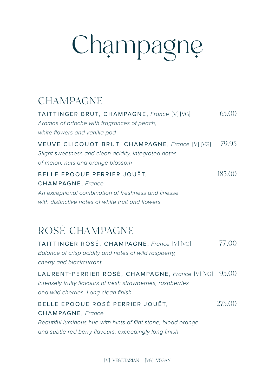# Champagne

# **CHAMPAGNE**

| TAITTINGER BRUT, CHAMPAGNE, France [V] [VG]<br>Aromas of brioche with fragrances of peach,<br>white flowers and vanilla pod                  | 65.00  |
|----------------------------------------------------------------------------------------------------------------------------------------------|--------|
| VEUVE CLICQUOT BRUT, CHAMPAGNE, France [V] [VG]<br>Slight sweetness and clean acidity, integrated notes<br>of melon, nuts and orange blossom | 79.95  |
| BELLE EPOQUE PERRIER JOUËT.<br><b>CHAMPAGNE, France</b>                                                                                      | 185.00 |
| An exceptional combination of freshness and finesse<br>with distinctive notes of white fruit and flowers                                     |        |

# ROSÉ CHAMPAGNE

| TAITTINGER ROSÉ, CHAMPAGNE, France [V] [VG]<br>Balance of crisp acidity and notes of wild raspberry,<br>cherry and blackcurrant                          | 77.00  |
|----------------------------------------------------------------------------------------------------------------------------------------------------------|--------|
| LAURENT-PERRIER ROSÉ, CHAMPAGNE, France [V] [VG]<br>Intensely fruity flavours of fresh strawberries, raspberries<br>and wild cherries. Long clean finish | 95.00  |
| BELLE EPOQUE ROSÉ PERRIER JOUËT,<br><b>CHAMPAGNE, France</b>                                                                                             | 275.00 |
| Beautiful luminous hue with hints of flint stone, blood orange<br>and subtle red berry flavours, exceedingly long finish                                 |        |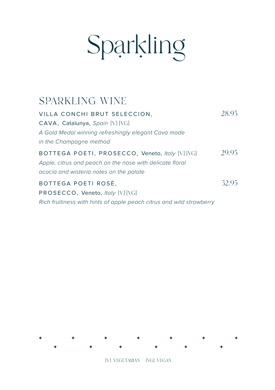# Sparkling

# SPARKLING WINE

| VILLA CONCHI BRUT SELECCION.                                         | 28.95 |
|----------------------------------------------------------------------|-------|
| CAVA, Catalunya, Spain [V] [VG]                                      |       |
| A Gold Medal winning refreshingly elegant Cava made                  |       |
| in the Champagne method                                              |       |
| BOTTEGA POETI, PROSECCO, Veneto, Italy [V] [VG]                      | 29.95 |
| Apple, citrus and peach on the nose with delicate floral             |       |
| acacia and wisteria notes on the palate                              |       |
| BOTTEGA POETI ROSÈ,                                                  | 32.95 |
| PROSECCO, Veneto, Italy [V] [VG]                                     |       |
| Rich fruitiness with hints of apple peach citrus and wild strawberry |       |

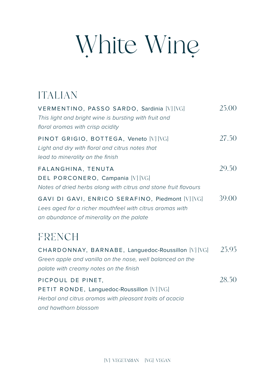# White Wine

## ITALIAN VERMENTINO, PASSO SARDO, Sardinia [V] [VG] 25.00 *This light and bright wine is bursting with fruit and floral aromas with crisp acidity* PINOT GRIGIO, BOTTEGA, Veneto [V] [VG] 27.50 *Light and dry with floral and citrus notes that lead to minerality on the finish* FALANGHINA, TENUTA 29.50 DEL PORCONERO, Campania [V] [VG] *Notes of dried herbs along with citrus and stone fruit flavours* GAVI DI GAVI, ENRICO SERAFINO, Piedmont [V] [VG] 39.00 *Lees aged for a richer mouthfeel with citrus aromas with an abundance of minerality on the palate* **FRENCH** CHARDONNAY, BARNABE, Languedoc-Roussillon [V] [VG] 25.95 *Green apple and vanilla on the nose, well balanced on the palate with creamy notes on the finish* PICPOUL DE PINET, 28.50 PETIT RONDE, Languedoc-Roussillon [V] [VG] *Herbal and citrus aromas with pleasant traits of acacia and hawthorn blossom*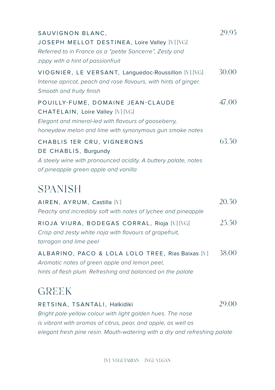| SAUVIGNON BLANC,<br>JOSEPH MELLOT DESTINEA, Loire Valley [V] [VG]<br>Referred to in France as a "petite Sancerre", Zesty and<br>zippy with a hint of passionfruit                        | 29.95 |
|------------------------------------------------------------------------------------------------------------------------------------------------------------------------------------------|-------|
| VIOGNIER, LE VERSANT, Languedoc-Roussillon [V] [VG]<br>Intense apricot, peach and rose flavours, with hints of ginger.<br>Smooth and fruity finish                                       | 30.00 |
| POUILLY-FUME, DOMAINE JEAN-CLAUDE<br>CHATELAIN, Loire Valley [V] [VG]<br>Elegant and mineral-led with flavours of gooseberry,<br>honeydew melon and lime with synonymous gun smoke notes | 47.00 |
| CHABLIS 1ER CRU, VIGNERONS<br>DE CHABLIS, Burgundy<br>A steely wine with pronounced acidity. A buttery palate, notes<br>of pineapple green apple and vanilla                             | 63.50 |
| <b>SPANISH</b>                                                                                                                                                                           |       |
| AIREN, AYRUM, Castilla [V]<br>Peachy and incredibly soft with notes of lychee and pineapple                                                                                              | 20.50 |
| RIOJA VIURA, BODEGAS CORRAL, Rioja [V] [VG]<br>Crisp and zesty white rioja with flavours of grapefruit,<br>tarragon and lime peel                                                        | 25.50 |
| ALBARINO, PACO & LOLA LOLO TREE, Rias Baixas [V]<br>Aromatic notes of green apple and lemon peel,<br>hints of flesh plum. Refreshing and balanced on the palate                          | 38.00 |
| <b>GREEK</b>                                                                                                                                                                             |       |
| RETSINA, TSANTALI, Halkidiki<br>Bright pale-yellow colour with light golden hues. The nose                                                                                               | 29.00 |

*is vibrant with aromas of citrus, pear, and apple, as well as elegant fresh pine resin. Mouth-watering with a dry and refreshing palate*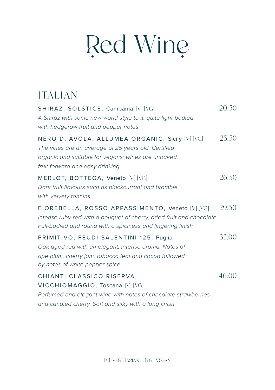# Red Wine

# ITALIAN

| SHIRAZ, SOLSTICE, Campania [V] [VG]<br>A Shiraz with some new world style to it, quite light-bodied<br>with hedgerow fruit and pepper notes                                                      | 20.50 |
|--------------------------------------------------------------------------------------------------------------------------------------------------------------------------------------------------|-------|
| NERO D, AVOLA, ALLUMEA ORGANIC, Sicily [V] [VG]<br>The vines are an average of 25 years old. Certified<br>organic and suitable for vegans; wines are unoaked,<br>fruit forward and easy drinking | 25.50 |
| MERLOT, BOTTEGA, Veneto [V] [VG]<br>Dark fruit flavours such as blackcurrant and bramble<br>with velvety tannins                                                                                 | 26.50 |
| FIOREBELLA, ROSSO APPASSIMENTO, Veneto [V] [VG]<br>Intense ruby-red with a bouquet of cherry, dried fruit and chocolate.<br>Full-bodied and round with a spiciness and lingering finish          | 29.50 |
| PRIMITIVO, FEUDI SALENTINI 125, Puglia<br>Oak aged red with an elegant, intense aroma. Notes of<br>ripe plum, cherry jam, tobacco leaf and cocoa followed<br>by notes of white pepper spice      | 33.00 |
| CHIANTI CLASSICO RISERVA,<br>VICCHIOMAGGIO, Toscana [V] [VG]<br>Perfumed and elegant wine with notes of chocolate strawberries<br>and candied cherry. Soft and silky with a long finish          | 46.00 |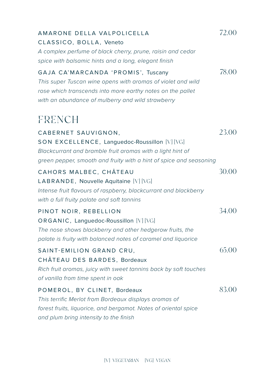| AMARONE DELLA VALPOLICELLA<br>CLASSICO, BOLLA, Veneto<br>A complex perfume of black cherry, prune, raisin and cedar<br>spice with balsamic hints and a long, elegant finish                                          | 72.00 |
|----------------------------------------------------------------------------------------------------------------------------------------------------------------------------------------------------------------------|-------|
| GAJA CA'MARCANDA 'PROMIS', Tuscany<br>This super Tuscan wine opens with aromas of violet and wild<br>rose which transcends into more earthy notes on the pallet<br>with an abundance of mulberry and wild strawberry | 78.00 |
| FRENCH                                                                                                                                                                                                               |       |
| CABERNET SAUVIGNON,<br>SON EXCELLENCE, Languedoc-Roussillon [V] [VG]<br>Blackcurrant and bramble fruit aromas with a light hint of<br>green pepper, smooth and fruity with a hint of spice and seasoning             | 23.00 |
| CAHORS MALBEC, CHÂTEAU<br>LABRANDE, Nouvelle Aquitaine [V] [VG]<br>Intense fruit flavours of raspberry, blackcurrant and blackberry<br>with a full fruity palate and soft tannins                                    | 30.00 |
| PINOT NOIR, REBELLION<br>ORGANIC, Languedoc-Roussillon [V] [VG]<br>The nose shows blackberry and other hedgerow fruits, the<br>palate is fruity with balanced notes of caramel and liquorice                         | 34.00 |
| SAINT-EMILION GRAND CRU,<br>CHÂTEAU DES BARDES, Bordeaux<br>Rich fruit aromas, juicy with sweet tannins back by soft touches<br>of vanilla from time spent in oak                                                    | 65.00 |
| POMEROL, BY CLINET, Bordeaux<br>This terrific Merlot from Bordeaux displays aromas of<br>forest fruits, liquorice, and bergamot. Notes of oriental spice<br>and plum bring intensity to the finish                   | 83.00 |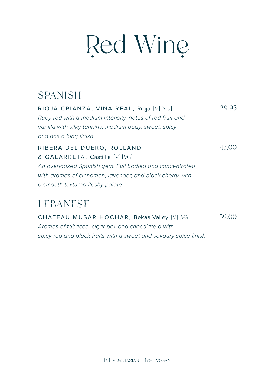# Red Wine

# **SPANISH**

RIOJA CRIANZA, VINA REAL, Rioja [V] [VG] 29.95 *Ruby red with a medium intensity, notes of red fruit and vanilla with silky tannins, medium body, sweet, spicy and has a long finish*

RIBERA DEL DUERO, ROLLAND 45.00 & GALARRETA, Castillia [V] [VG] *An overlooked Spanish gem. Full bodied and concentrated with aromas of cinnamon, lavender, and black cherry with a smooth textured fleshy palate*

# LEBANESE

CHATEAU MUSAR HOCHAR, Bekaa Valley [V] [VG] 59.00 *Aromas of tobacco, cigar box and chocolate a with spicy red and black fruits with a sweet and savoury spice finish*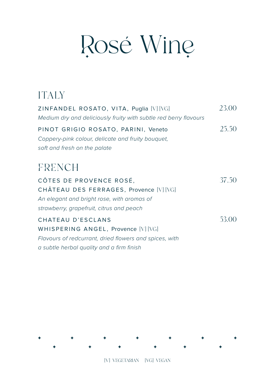# Rosé Wine

# ITALY

| ZINFANDEL ROSATO, VITA, Puglia [V] [VG]<br>Medium dry and deliciously fruity with subtle red berry flavours                                                  | 23.00 |
|--------------------------------------------------------------------------------------------------------------------------------------------------------------|-------|
| PINOT GRIGIO ROSATO, PARINI, Veneto<br>Coppery-pink colour, delicate and fruity bouquet,<br>soft and fresh on the palate                                     | 25.50 |
| FRENCH                                                                                                                                                       |       |
| CÔTES DE PROVENCE ROSÉ,<br>CHÂTEAU DES FERRAGES, Provence [V] [VG]<br>An elegant and bright rose, with aromas of<br>strawberry, grapefruit, citrus and peach | 37.50 |
| CHATEAU D'ESCLANS<br>WHISPERING ANGEL, Provence [V] [VG]<br>Flavours of redcurrant, dried flowers and spices, with                                           | 53.00 |

*a subtle herbal quality and a firm finish*

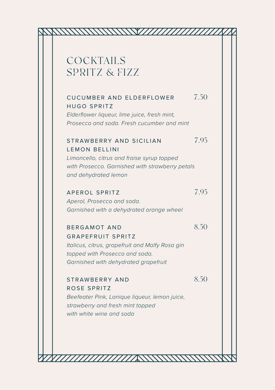# COCKTAILS SPRITZ & FIZZ

### CUCUMBER AND ELDERFLOWER 7.50 HUGO SPRITZ

*Elderflower liqueur, lime juice, fresh mint, Prosecco and soda. Fresh cucumber and mint*

### STRAWBERRY AND SICILIAN 7.95 LEMON BELLINI

*Limoncello, citrus and fraise syrup topped with Prosecco. Garnished with strawberry petals and dehydrated lemon*

## APEROL SPRITZ 7.95

*Aperol, Prosecco and soda. Garnished with a dehydrated orange wheel*

### BERGAMOT AND 8.50

GRAPEFRUIT SPRITZ *Italicus, citrus, grapefruit and Malfy Rosa gin*

ROSE SPRITZ

*topped with Prosecco and soda. Garnished with dehydrated grapefruit*

# STRAWBERRY AND 8.50

*Beefeater Pink, Lanique liqueur, lemon juice, strawberry and fresh mint topped with white wine and soda*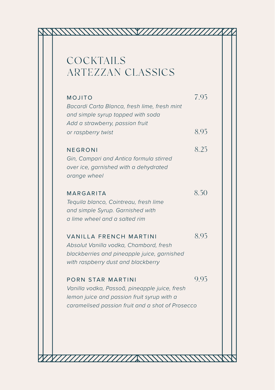# **COCKTAILS** ARTEZZAN CLASSICS

| 8.95<br>or raspberry twist<br>8.25<br>NEGRONI<br>Gin, Campari and Antica formula stirred<br>over ice, garnished with a dehydrated<br>orange wheel<br>8.50<br>MARGARITA<br>Tequila blanco, Cointreau, fresh lime<br>and simple Syrup. Garnished with<br>a lime wheel and a salted rim<br>8.95<br><b>VANILLA FRENCH MARTINI</b><br>Absolut Vanilla vodka, Chambord, fresh<br>blackberries and pineapple juice, garnished<br>with raspberry dust and blackberry<br>9.95<br>PORN STAR MARTINI<br>Vanilla vodka, Passoã, pineapple juice, fresh | MOJITO<br>Bacardi Carta Blanca, fresh lime, fresh mint<br>and simple syrup topped with soda | 7.95 |
|--------------------------------------------------------------------------------------------------------------------------------------------------------------------------------------------------------------------------------------------------------------------------------------------------------------------------------------------------------------------------------------------------------------------------------------------------------------------------------------------------------------------------------------------|---------------------------------------------------------------------------------------------|------|
|                                                                                                                                                                                                                                                                                                                                                                                                                                                                                                                                            | Add a strawberry, passion fruit                                                             |      |
|                                                                                                                                                                                                                                                                                                                                                                                                                                                                                                                                            |                                                                                             |      |
|                                                                                                                                                                                                                                                                                                                                                                                                                                                                                                                                            |                                                                                             |      |
|                                                                                                                                                                                                                                                                                                                                                                                                                                                                                                                                            |                                                                                             |      |
| caramelised passion fruit and a shot of Prosecco                                                                                                                                                                                                                                                                                                                                                                                                                                                                                           | lemon juice and passion fruit syrup with a                                                  |      |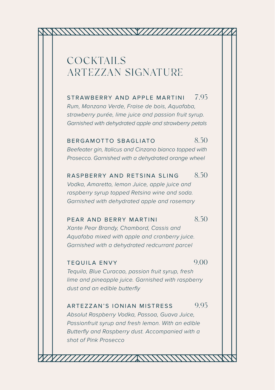## COCKTAILS ARTEZZAN SIGNATURE

STRAWBERRY AND APPLE MARTINI 795 *Rum, Manzana Verde, Fraise de bois, Aquafaba, strawberry purée, lime juice and passion fruit syrup. Garnished with dehydrated apple and strawberry petals*

### BERGAMOTTO SBAGLIATO 8.50

*Beefeater gin, Italicus and Cinzano bianco topped with Prosecco. Garnished with a dehydrated orange wheel*

### RASPBERRY AND RETSINA SLING 8.50

*Vodka, Amaretto, lemon Juice, apple juice and raspberry syrup topped Retsina wine and soda. Garnished with dehydrated apple and rosemary*

### PEAR AND BERRY MARTINI 8.50

*Xante Pear Brandy, Chambord, Cassis and Aquafaba mixed with apple and cranberry juice. Garnished with a dehydrated redcurrant parcel*

## TEQUILA ENVY 9.00

*Tequila, Blue Curacao, passion fruit syrup, fresh lime and pineapple juice. Garnished with raspberry dust and an edible butterfly*

### ARTEZZAN'S IONIAN MISTRESS 9.95

*Absolut Raspberry Vodka, Passoa, Guava Juice, Passionfruit syrup and fresh lemon. With an edible Butterfly and Raspberry dust. Accompanied with a shot of Pink Prosecco*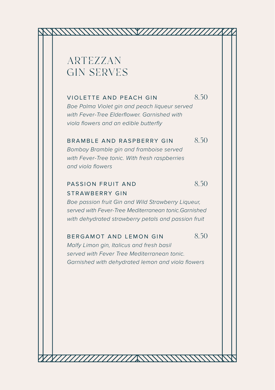## ARTEZZAN GIN SERVES

### VIOLETTE AND PEACH GIN 8.50

*Boe Palma Violet gin and peach liqueur served with Fever-Tree Elderflower. Garnished with viola flowers and an edible butterfly*

### BRAMBLE AND RASPBERRY GIN 8.50

*Bombay Bramble gin and framboise served with Fever-Tree tonic. With fresh raspberries and viola flowers*

### PASSION FRUIT AND 8.50 STRAWBERRY GIN

*Boe passion fruit Gin and Wild Strawberry Liqueur, served with Fever-Tree Mediterranean tonic.Garnished with dehydrated strawberry petals and passion fruit*

### BERGAMOT AND LEMON GIN 8.50

*Malfy Limon gin, Italicus and fresh basil served with Fever Tree Mediterranean tonic. Garnished with dehydrated lemon and viola flowers*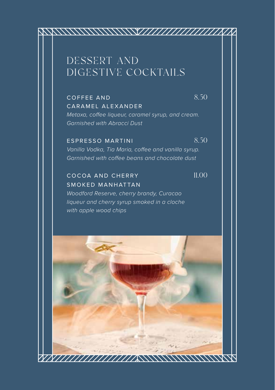# DESSERT AND DIGESTIVE COCKTAILS

COFFEE AND  $8.50$ CARAMEL ALEXANDER *Metaxa, coffee liqueur, caramel syrup, and cream. Garnished with Abracci Dust*

### ESPRESSO MARTINI 8.50

*Vanilla Vodka, Tia Maria, coffee and vanilla syrup. Garnished with coffee beans and chocolate dust*

COCOA AND CHERRY 11.00 SMOKED MANHATTAN *Woodford Reserve, cherry brandy, Curacao*

*liqueur and cherry syrup smoked in a cloche with apple wood chips*

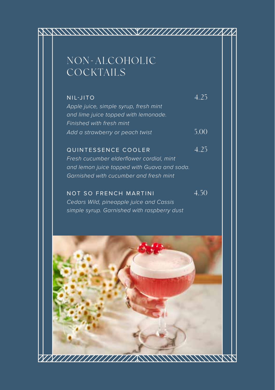# NON-ALCOHOLIC **COCKTAILS**

NIL-JITO 4.25 *Apple juice, simple syrup, fresh mint and lime juice topped with lemonade. Finished with fresh mint Add a strawberry or peach twist* 5.00

QUINTESSENCE COOLER 4.25 *Fresh cucumber elderflower cordial, mint and lemon juice topped with Guava and soda. Garnished with cucumber and fresh mint*

NOT SO FRENCH MARTINI 4.50 *Cedars Wild, pineapple juice and Cassis simple syrup. Garnished with raspberry dust*

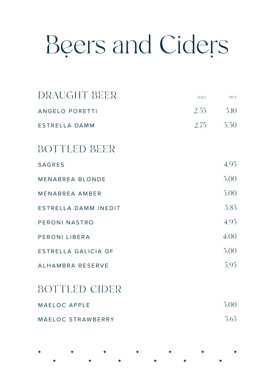# Beers and Ciders

| DRAUGHT BEER          | <b>HALF</b> | <b>PINT</b> |
|-----------------------|-------------|-------------|
| <b>ANGELO PORETTI</b> | 2.55        | 5.10        |
| ESTRELLA DAMM         | 2.75        | 5.50        |
| BOTTLED BEER          |             |             |
| <b>SAGRES</b>         |             | 4.95        |
| MENABREA BLONDE       |             | 5.00        |
| MENARREA AMBER        |             | 5.00        |
| ESTRELLA DAMM INEDIT  |             | 5.85        |
| PERONI NASTRO         |             | 4.95        |
| PERONI LIBERA         |             | 4.00        |
| ESTRELLA GALICIA GF   |             | 5.00        |
| ALHAMBRA RESERVE      |             | 5.95        |
|                       |             |             |

## BOTTLED CIDER

| MAELOC APPLE      | 5.00 |
|-------------------|------|
| MAELOC STRAWBERRY | 5.65 |

| + + + + + + + + +                                                                                                                                                                                                             |  |  |  |  |  |  |
|-------------------------------------------------------------------------------------------------------------------------------------------------------------------------------------------------------------------------------|--|--|--|--|--|--|
| . The contract of the contract of the contract of the contract of the contract of the contract of the contract of the contract of the contract of the contract of the contract of the contract of the contract of the contrac |  |  |  |  |  |  |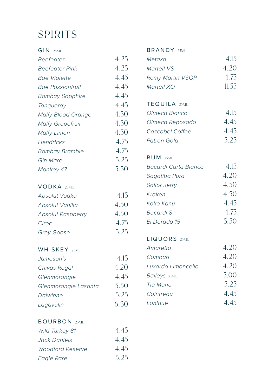# SPIRITS

| 4.25 |
|------|
|      |
| 4.25 |
| 4.45 |
| 4.45 |
| 4.45 |
| 4.45 |
| 4.50 |
| 4.50 |
| 4.50 |
| 4.75 |
| 4.75 |
| 5.25 |
| 5.50 |
|      |

### VODKA 25ML

| Absolut Vodka            | 415  |
|--------------------------|------|
| Absolut Vanilla          | 4.50 |
| <b>Absolut Raspberry</b> | 4.50 |
| Ciroc                    | 4.75 |
| Grey Goose               | 525  |
|                          |      |

### WHISKEY 25ML

| Jameson's            | 4.15 |
|----------------------|------|
| Chivas Regal         | 4.20 |
| Glenmorangie         | 4.45 |
| Glenmorangie Lasanta | 5.50 |
| Dalwinne             | 525  |
| Lagavulin            | 6.30 |

### BOURBON 25ML

| <b>Wild Turkey 81</b>   | 4.45 |
|-------------------------|------|
| Jack Daniels            | 4.45 |
| <b>Woodford Reserve</b> | 4.45 |
| Eagle Rare              | 525  |

### BRANDY 25ML

| Metaxa                  | 4.15  |
|-------------------------|-------|
| Martell VS              | 4.20  |
| <b>Remy Martin VSOP</b> | 4.75  |
| Martell XO              | 11.55 |

### TEQUILA 25ML

| Olmeca Blanco   | 415  |
|-----------------|------|
| Olmeca Reposado | 445  |
| Cazcabel Coffee | 445  |
| Patron Gold     | 5.25 |

### RUM 25ML

| Bacardi Carta Blanca | 415  |
|----------------------|------|
| Sagatiba Pura        | 4.20 |
| <b>Sailor Jerry</b>  | 4.50 |
| Kraken               | 4.50 |
| Koko Kanu            | 4.45 |
| Bacardi 8            | 4.75 |
| FI Dorado 15         | 5.50 |
|                      |      |

### LIQUORS 25ML

| Amaretto           | 4.20 |
|--------------------|------|
| Campari            | 4.20 |
| Luxardo Limoncello | 4.20 |
| Baileys 50ML       | 5.00 |
| Tia Maria          | 5.25 |
| Cointreau          | 445  |
| Lanique            | 4 45 |
|                    |      |